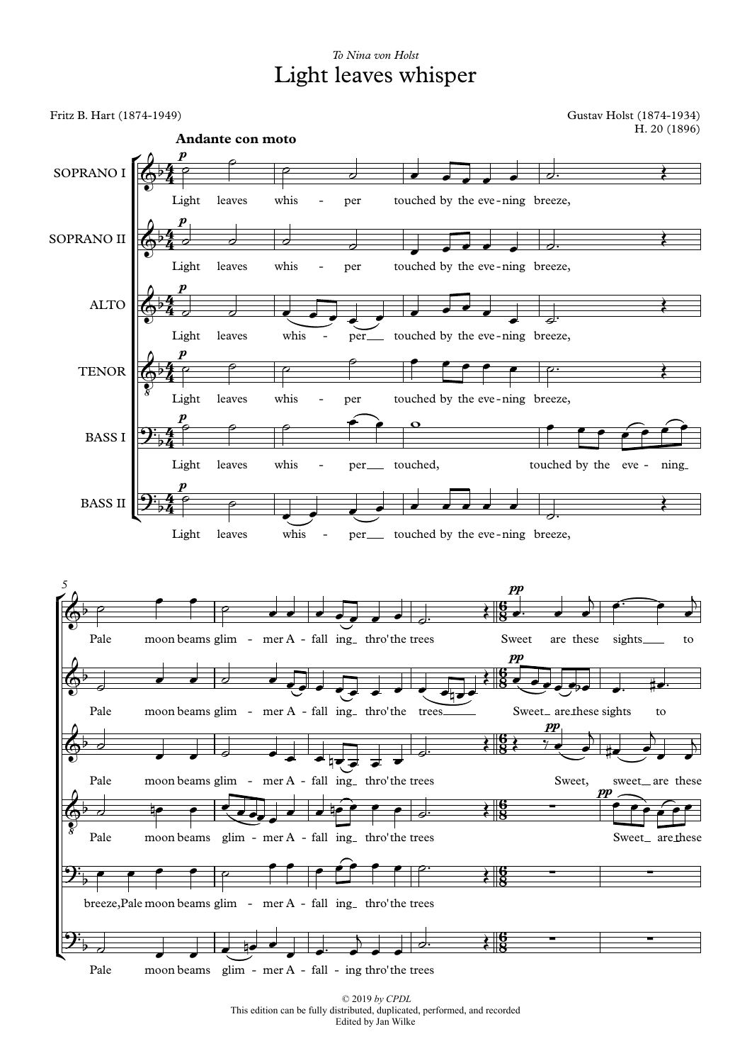## *To Nina von Holst* Light leaves whisper

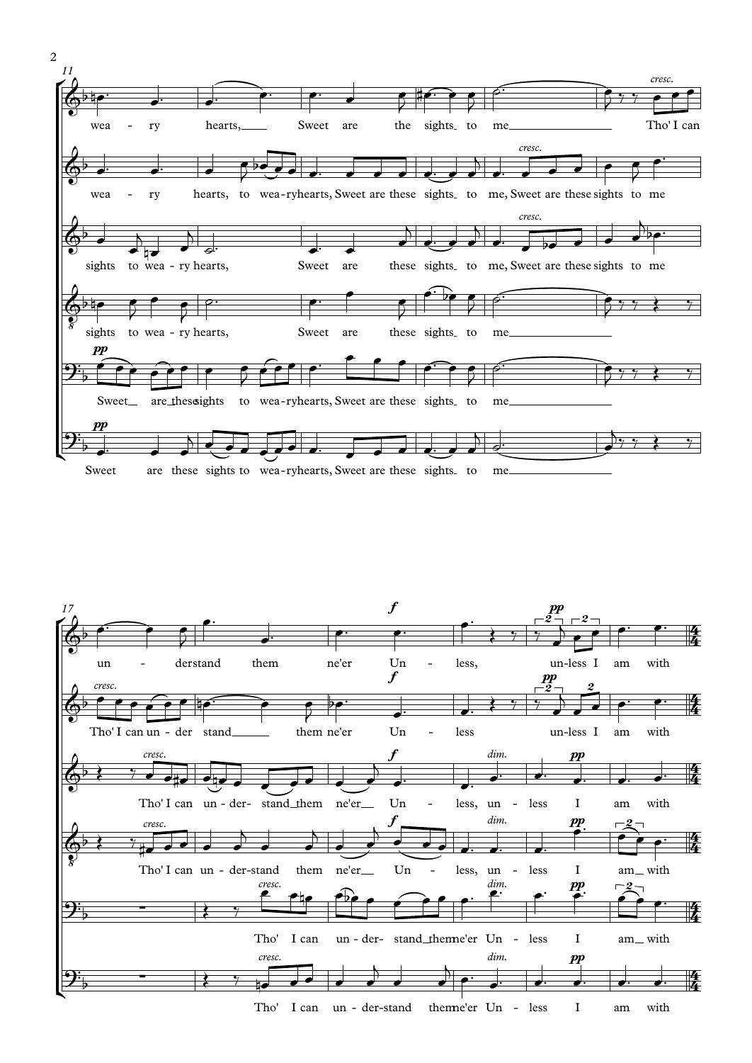



Tho' I can theme'er Un - less  $\mathbf I$ un - der-stand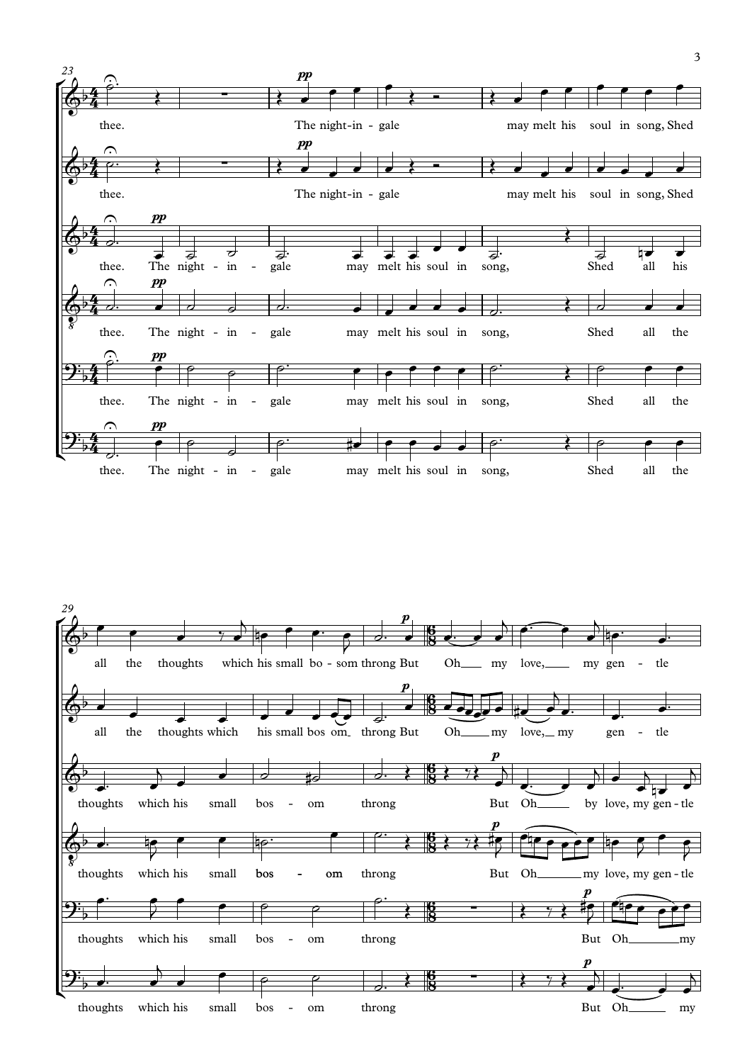